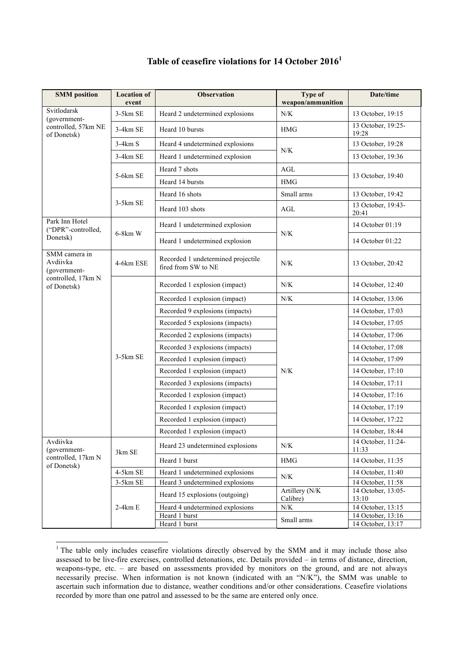| <b>Location of</b><br>event | <b>Observation</b>                                        | <b>Type of</b>                                                                      | Date/time                                                       |
|-----------------------------|-----------------------------------------------------------|-------------------------------------------------------------------------------------|-----------------------------------------------------------------|
| 3-5km SE                    | Heard 2 undetermined explosions                           | N/K                                                                                 | 13 October, 19:15                                               |
| $3-4km$ SE                  | Heard 10 bursts                                           | <b>HMG</b>                                                                          | 13 October, 19:25-<br>19:28                                     |
| $3-4km S$                   | Heard 4 undetermined explosions                           |                                                                                     | 13 October, 19:28                                               |
| 3-4km SE                    | Heard 1 undetermined explosion                            |                                                                                     | 13 October, 19:36                                               |
| 5-6km SE                    | Heard 7 shots                                             | AGL<br><b>HMG</b>                                                                   | 13 October, 19:40                                               |
|                             | Heard 14 bursts                                           |                                                                                     |                                                                 |
| $3-5km$ SE                  | Heard 16 shots                                            | Small arms                                                                          | 13 October, 19:42                                               |
|                             | Heard 103 shots                                           | AGL                                                                                 | 13 October, 19:43-<br>20:41                                     |
| $6-8km$ W                   | Heard 1 undetermined explosion                            | N/K                                                                                 | 14 October 01:19                                                |
|                             | Heard 1 undetermined explosion                            |                                                                                     | 14 October 01:22                                                |
| 4-6km ESE                   | Recorded 1 undetermined projectile<br>fired from SW to NE | N/K                                                                                 | 13 October, 20:42                                               |
| 3-5km SE                    | Recorded 1 explosion (impact)                             | N/K                                                                                 | 14 October, 12:40                                               |
|                             | Recorded 1 explosion (impact)                             | N/K                                                                                 | 14 October, 13:06                                               |
|                             | Recorded 9 explosions (impacts)                           | N/K                                                                                 | 14 October, 17:03                                               |
|                             | Recorded 5 explosions (impacts)                           |                                                                                     | 14 October, 17:05                                               |
|                             | Recorded 2 explosions (impacts)                           |                                                                                     | 14 October, 17:06                                               |
|                             | Recorded 3 explosions (impacts)                           |                                                                                     | 14 October, 17:08                                               |
|                             | Recorded 1 explosion (impact)                             |                                                                                     | 14 October, 17:09                                               |
|                             | Recorded 1 explosion (impact)                             |                                                                                     | 14 October, 17:10                                               |
|                             | Recorded 3 explosions (impacts)                           |                                                                                     | 14 October, 17:11                                               |
|                             | Recorded 1 explosion (impact)                             |                                                                                     | 14 October, 17:16                                               |
|                             | Recorded 1 explosion (impact)                             |                                                                                     | 14 October, 17:19                                               |
|                             | Recorded 1 explosion (impact)                             |                                                                                     | 14 October, 17:22                                               |
|                             | Recorded 1 explosion (impact)                             |                                                                                     | 14 October, 18:44                                               |
| 3km SE                      | Heard 23 undetermined explosions                          | $N\!/\!K$                                                                           | 14 October, 11:24-<br>11:33                                     |
|                             | Heard 1 burst                                             | <b>HMG</b>                                                                          | 14 October, 11:35                                               |
| 4-5km SE                    | Heard 1 undetermined explosions                           |                                                                                     | 14 October, 11:40                                               |
|                             |                                                           |                                                                                     | 14 October, 11:58                                               |
|                             | Heard 15 explosions (outgoing)                            | Calibre)                                                                            | 14 October, 13:05-<br>13:10                                     |
|                             |                                                           | Small arms                                                                          | 14 October, 13:15<br>14 October, 13:16                          |
|                             | Heard 1 burst                                             |                                                                                     | 14 October, 13:17                                               |
|                             | 3-5km SE<br>$2-4km E$                                     | Heard 3 undetermined explosions<br>Heard 4 undetermined explosions<br>Heard 1 burst | weapon/ammunition<br>N/K<br>$N\!/\!K$<br>Artillery (N/K)<br>N/K |

## **Table of ceasefire violations for 14 October 2016<sup>1</sup>**

<sup>&</sup>lt;sup>1</sup> The table only includes ceasefire violations directly observed by the SMM and it may include those also assessed to be live-fire exercises, controlled detonations, etc. Details provided – in terms of distance, direction, weapons-type, etc. – are based on assessments provided by monitors on the ground, and are not always necessarily precise. When information is not known (indicated with an "N/K"), the SMM was unable to ascertain such information due to distance, weather conditions and/or other considerations. Ceasefire violations recorded by more than one patrol and assessed to be the same are entered only once.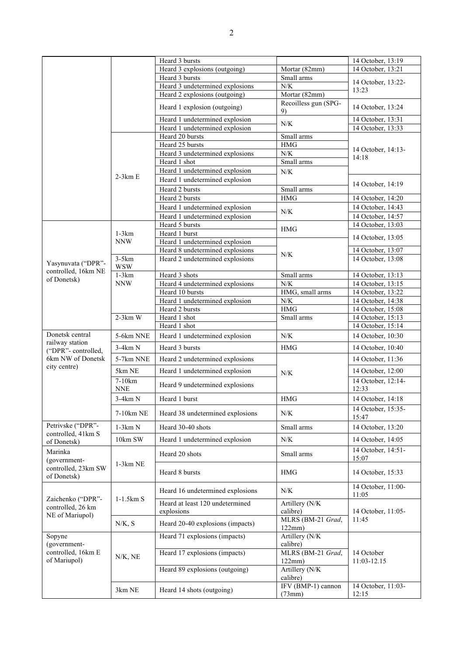|                                                               |                       | Heard 3 bursts                   |                             | 14 October, 13:19           |
|---------------------------------------------------------------|-----------------------|----------------------------------|-----------------------------|-----------------------------|
|                                                               |                       | Heard 3 explosions (outgoing)    | Mortar (82mm)               | 14 October, 13:21           |
|                                                               |                       | Heard 3 bursts                   | Small arms                  | 14 October, 13:22-          |
|                                                               |                       | Heard 3 undetermined explosions  | ${\rm N/K}$                 | 13:23                       |
|                                                               |                       | Heard 2 explosions (outgoing)    | Mortar (82mm)               |                             |
|                                                               |                       | Heard 1 explosion (outgoing)     | Recoilless gun (SPG-<br>9)  | 14 October, 13:24           |
|                                                               |                       | Heard 1 undetermined explosion   | N/K                         | 14 October, 13:31           |
|                                                               |                       | Heard 1 undetermined explosion   |                             | 14 October, 13:33           |
|                                                               |                       | Heard 20 bursts                  | Small arms                  |                             |
|                                                               | $2-3km E$             | Heard 25 bursts                  | $\rm HMG$                   | 14 October, 14:13-<br>14:18 |
|                                                               |                       | Heard 3 undetermined explosions  | ${\rm N/K}$                 |                             |
|                                                               |                       | Heard 1 shot                     | Small arms                  |                             |
|                                                               |                       | Heard 1 undetermined explosion   | $N/K$                       |                             |
|                                                               |                       | Heard 1 undetermined explosion   |                             | 14 October, 14:19           |
|                                                               |                       | Heard 2 bursts                   | Small arms                  |                             |
|                                                               |                       | Heard 2 bursts                   | <b>HMG</b>                  | 14 October, 14:20           |
|                                                               |                       | Heard 1 undetermined explosion   | $N\!/\!K$                   | 14 October, 14:43           |
|                                                               |                       | Heard 1 undetermined explosion   |                             | 14 October, 14:57           |
|                                                               |                       | Heard 5 bursts<br>Heard 1 burst  | <b>HMG</b>                  | 14 October, 13:03           |
|                                                               | $1-3km$<br><b>NNW</b> | Heard 1 undetermined explosion   |                             | 14 October, 13:05           |
|                                                               |                       | Heard 8 undetermined explosions  |                             | 14 October, 13:07           |
|                                                               | $3-5km$               | Heard 2 undetermined explosions  | $N/K$                       | 14 October, 13:08           |
| Yasynuvata ("DPR"-                                            | <b>WSW</b>            |                                  |                             |                             |
| controlled, 16km NE                                           | $1-3km$               | Heard 3 shots                    | Small arms                  | 14 October, 13:13           |
| of Donetsk)                                                   | <b>NNW</b>            | Heard 4 undetermined explosions  | N/K                         | 14 October, 13:15           |
|                                                               |                       | Heard 10 bursts                  | HMG, small arms             | 14 October, 13:22           |
|                                                               |                       | Heard 1 undetermined explosion   | ${\rm N/K}$                 | 14 October, 14:38           |
|                                                               | $2-3km$ W             | Heard 2 bursts                   | <b>HMG</b>                  | 14 October, 15:08           |
|                                                               |                       | Heard 1 shot                     | Small arms                  | 14 October, 15:13           |
|                                                               |                       | Heard 1 shot                     |                             | 14 October, 15:14           |
| Donetsk central<br>railway station                            | 5-6km NNE             | Heard 1 undetermined explosion   | N/K                         | 14 October, 10:30           |
| ("DPR"-controlled,                                            | $3-4km N$             | Heard 3 bursts                   | <b>HMG</b>                  | 14 October, 10:40           |
| 6km NW of Donetsk<br>city centre)                             | 5-7km NNE             | Heard 2 undetermined explosions  |                             | 14 October, 11:36           |
|                                                               | 5km NE                | Heard 1 undetermined explosion   | N/K                         | 14 October, 12:00           |
|                                                               | 7-10km<br><b>NNE</b>  | Heard 9 undetermined explosions  |                             | 14 October, 12:14-<br>12:33 |
|                                                               | $3-4km N$             | Heard 1 burst                    | <b>HMG</b>                  | 14 October, 14:18           |
|                                                               | 7-10km NE             | Heard 38 undetermined explosions | N/K                         | 14 October, 15:35-          |
| Petrivske ("DPR"-<br>controlled, 41km S<br>of Donetsk)        | $1-3km N$             | Heard 30-40 shots                | Small arms                  | 15:47<br>14 October, 13:20  |
|                                                               | 10km SW               |                                  | $N\!/\!K$                   |                             |
|                                                               |                       | Heard 1 undetermined explosion   |                             | 14 October, 14:05           |
| Marinka<br>(government-<br>controlled, 23km SW<br>of Donetsk) | 1-3km NE              | Heard 20 shots                   | Small arms                  | 14 October, 14:51-<br>15:07 |
|                                                               |                       | Heard 8 bursts                   | <b>HMG</b>                  | 14 October, 15:33           |
|                                                               | $1-1.5km S$           | Heard 16 undetermined explosions | N/K                         | 14 October, 11:00-<br>11:05 |
| Zaichenko ("DPR"-                                             |                       | Heard at least 120 undetermined  | Artillery (N/K              |                             |
| controlled, 26 km                                             |                       | explosions                       | calibre)                    | 14 October, 11:05-          |
| NE of Mariupol)                                               | N/K, S                | Heard 20-40 explosions (impacts) | MLRS (BM-21 Grad,           | 11:45                       |
|                                                               |                       |                                  | 122mm)                      |                             |
| Sopyne<br>(government-<br>controlled, 16km E<br>of Mariupol)  | N/K, NE               | Heard 71 explosions (impacts)    | Artillery (N/K<br>calibre)  | 14 October<br>11:03-12.15   |
|                                                               |                       | Heard 17 explosions (impacts)    | MLRS (BM-21 Grad,<br>122mm) |                             |
|                                                               |                       | Heard 89 explosions (outgoing)   | Artillery (N/K              |                             |
|                                                               |                       |                                  | calibre)                    |                             |
|                                                               | 3km NE                | Heard 14 shots (outgoing)        | IFV (BMP-1) cannon          | 14 October, 11:03-          |
|                                                               |                       |                                  | (73mm)                      | 12:15                       |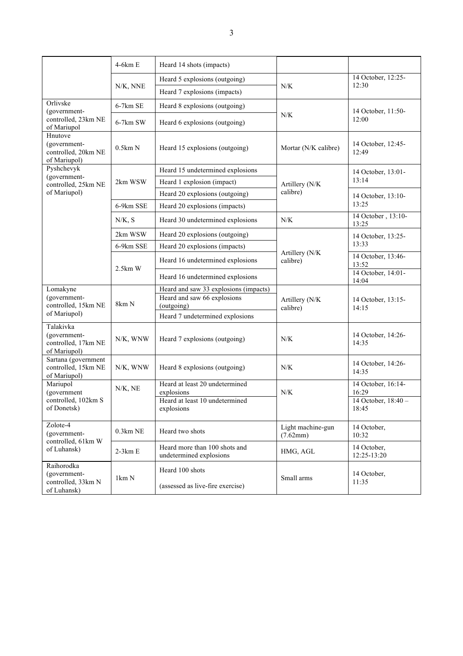|                                                                  | 4-6km E                | Heard 14 shots (impacts)                                 |                               |                              |
|------------------------------------------------------------------|------------------------|----------------------------------------------------------|-------------------------------|------------------------------|
|                                                                  | N/K, NNE               | Heard 5 explosions (outgoing)                            |                               | 14 October, 12:25-<br>12:30  |
|                                                                  |                        | Heard 7 explosions (impacts)                             | N/K                           |                              |
| Orlivske<br>(government-<br>controlled, 23km NE<br>of Mariupol   | $6-7km$ SE             | Heard 8 explosions (outgoing)                            | N/K                           | 14 October, 11:50-<br>12:00  |
|                                                                  | 6-7km SW               | Heard 6 explosions (outgoing)                            |                               |                              |
| Hnutove<br>(government-<br>controlled, 20km NE<br>of Mariupol)   | 0.5km N                | Heard 15 explosions (outgoing)                           | Mortar (N/K calibre)          | 14 October, 12:45-<br>12:49  |
| Pyshchevyk                                                       |                        | Heard 15 undetermined explosions                         | Artillery (N/K                | 14 October, 13:01-<br>13:14  |
| (government-<br>controlled, 25km NE                              | 2km WSW                | Heard 1 explosion (impact)                               |                               |                              |
| of Mariupol)                                                     |                        | Heard 20 explosions (outgoing)                           | calibre)                      | 14 October, 13:10-<br>13:25  |
|                                                                  | 6-9km SSE              | Heard 20 explosions (impacts)                            |                               |                              |
|                                                                  | N/K, S                 | Heard 30 undetermined explosions                         | N/K                           | 14 October, 13:10-<br>13:25  |
|                                                                  | 2km WSW                | Heard 20 explosions (outgoing)                           |                               | 14 October, 13:25-           |
|                                                                  | 6-9km SSE              | Heard 20 explosions (impacts)                            | Artillery (N/K<br>calibre)    | 13:33                        |
|                                                                  | $2.5km$ W              | Heard 16 undetermined explosions                         |                               | 14 October, 13:46-<br>13:52  |
|                                                                  |                        | Heard 16 undetermined explosions                         |                               | 14 October, 14:01-<br>14:04  |
| Lomakyne                                                         | 8km N                  | Heard and saw 33 explosions (impacts)                    | Artillery (N/K<br>calibre)    | 14 October, 13:15-<br>14:15  |
| (government-<br>controlled, 15km NE<br>of Mariupol)              |                        | Heard and saw 66 explosions<br>(outgoing)                |                               |                              |
|                                                                  |                        | Heard 7 undetermined explosions                          |                               |                              |
| Talakivka<br>(government-<br>controlled, 17km NE<br>of Mariupol) | N/K, WNW               | Heard 7 explosions (outgoing)                            | N/K                           | 14 October, 14:26-<br>14:35  |
| Sartana (government<br>controlled, 15km NE<br>of Mariupol)       | N/K, WNW               | Heard 8 explosions (outgoing)                            | N/K                           | 14 October, 14:26-<br>14:35  |
| Mariupol<br>(government<br>controlled, 102km S<br>of Donetsk)    | N/K, NE                | Heard at least 20 undetermined<br>explosions             | ${\rm N/K}$                   | 14 October, 16:14-<br>16:29  |
|                                                                  |                        | Heard at least 10 undetermined<br>explosions             |                               | 14 October, 18:40 -<br>18:45 |
| Zolote-4<br>(government-<br>controlled, 61km W<br>of Luhansk)    | $0.3km$ NE             | Heard two shots                                          | Light machine-gun<br>(7.62mm) | 14 October,<br>10:32         |
|                                                                  | $2-3km E$              | Heard more than 100 shots and<br>undetermined explosions | HMG, AGL                      | 14 October,<br>12:25-13:20   |
| Raihorodka<br>(government-<br>controlled, 33km N<br>of Luhansk)  | $1 \text{km} \text{N}$ | Heard 100 shots<br>(assessed as live-fire exercise)      | Small arms                    | 14 October,<br>11:35         |